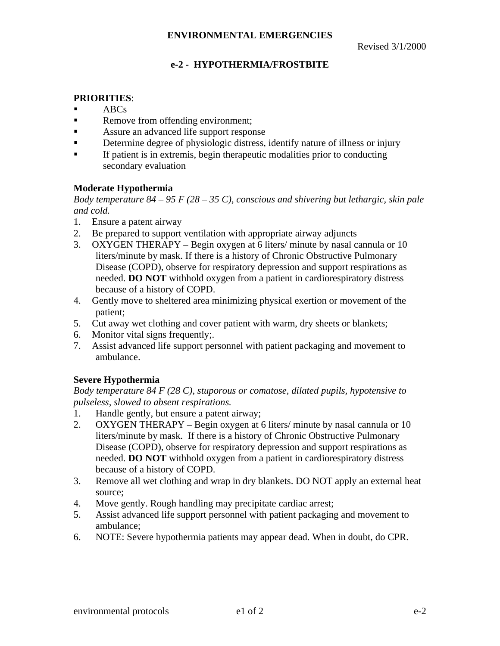# **e-2 - HYPOTHERMIA/FROSTBITE**

# **PRIORITIES**:

- $ABCs$
- Remove from offending environment;
- ß Assure an advanced life support response
- **EXECUTE:** Determine degree of physiologic distress, identify nature of illness or injury
- ß If patient is in extremis, begin therapeutic modalities prior to conducting secondary evaluation

## **Moderate Hypothermia**

*Body temperature 84 – 95 F (28 – 35 C), conscious and shivering but lethargic, skin pale and cold.*

- 1. Ensure a patent airway
- 2. Be prepared to support ventilation with appropriate airway adjuncts
- 3. OXYGEN THERAPY Begin oxygen at 6 liters/ minute by nasal cannula or 10 liters/minute by mask. If there is a history of Chronic Obstructive Pulmonary Disease (COPD), observe for respiratory depression and support respirations as needed. **DO NOT** withhold oxygen from a patient in cardiorespiratory distress because of a history of COPD.
- 4. Gently move to sheltered area minimizing physical exertion or movement of the patient;
- 5. Cut away wet clothing and cover patient with warm, dry sheets or blankets;
- 6. Monitor vital signs frequently;.
- 7. Assist advanced life support personnel with patient packaging and movement to ambulance.

# **Severe Hypothermia**

*Body temperature 84 F (28 C), stuporous or comatose, dilated pupils, hypotensive to pulseless, slowed to absent respirations.*

- 1. Handle gently, but ensure a patent airway;
- 2. OXYGEN THERAPY Begin oxygen at 6 liters/ minute by nasal cannula or 10 liters/minute by mask. If there is a history of Chronic Obstructive Pulmonary Disease (COPD), observe for respiratory depression and support respirations as needed. **DO NOT** withhold oxygen from a patient in cardiorespiratory distress because of a history of COPD.
- 3. Remove all wet clothing and wrap in dry blankets. DO NOT apply an external heat source;
- 4. Move gently. Rough handling may precipitate cardiac arrest;
- 5. Assist advanced life support personnel with patient packaging and movement to ambulance;
- 6. NOTE: Severe hypothermia patients may appear dead. When in doubt, do CPR.